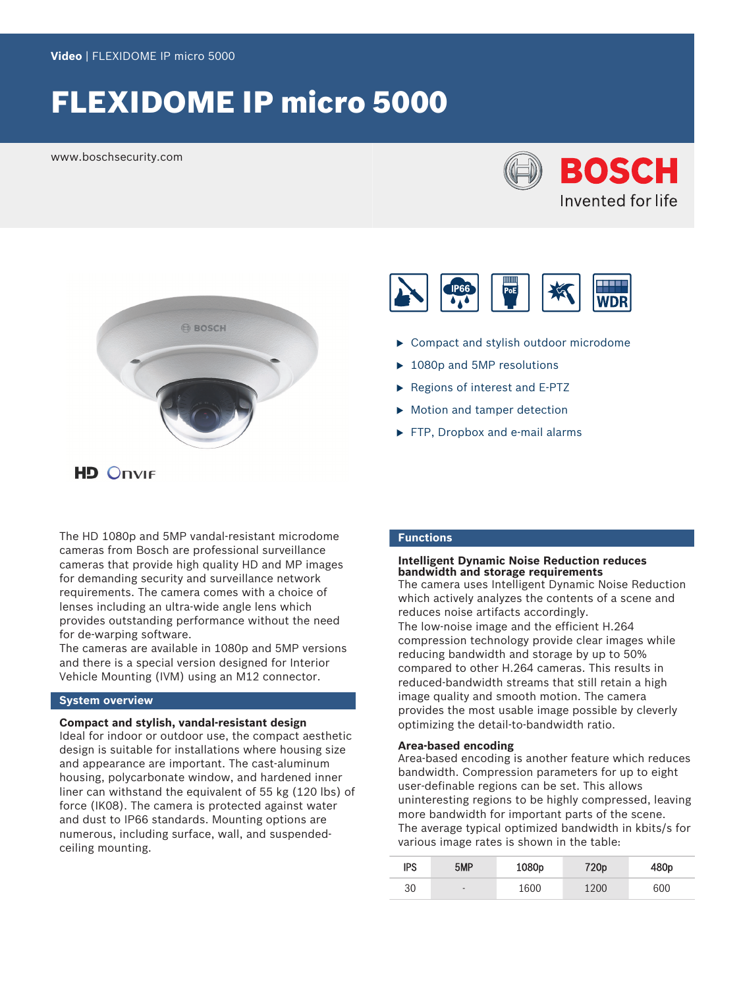# FLEXIDOME IP micro 5000

www.boschsecurity.com







The HD 1080p and 5MP vandal-resistant microdome cameras from Bosch are professional surveillance cameras that provide high quality HD and MP images for demanding security and surveillance network requirements. The camera comes with a choice of lenses including an ultra-wide angle lens which provides outstanding performance without the need for de-warping software.

The cameras are available in 1080p and 5MP versions and there is a special version designed for Interior Vehicle Mounting (IVM) using an M12 connector.

# **System overview**

# **Compact and stylish, vandal-resistant design**

Ideal for indoor or outdoor use, the compact aesthetic design is suitable for installations where housing size and appearance are important. The cast-aluminum housing, polycarbonate window, and hardened inner liner can withstand the equivalent of 55 kg (120 lbs) of force (IK08). The camera is protected against water and dust to IP66 standards. Mounting options are numerous, including surface, wall, and suspendedceiling mounting.



- $\triangleright$  Compact and stylish outdoor microdome
- $\blacktriangleright$  1080p and 5MP resolutions
- $\blacktriangleright$  Regions of interest and E-PTZ
- $\blacktriangleright$  Motion and tamper detection
- $\blacktriangleright$  FTP, Dropbox and e-mail alarms

# **Functions**

### **Intelligent Dynamic Noise Reduction reduces bandwidth and storage requirements**

The camera uses Intelligent Dynamic Noise Reduction which actively analyzes the contents of a scene and reduces noise artifacts accordingly. The low-noise image and the efficient H.264 compression technology provide clear images while reducing bandwidth and storage by up to 50% compared to other H.264 cameras. This results in reduced-bandwidth streams that still retain a high image quality and smooth motion. The camera provides the most usable image possible by cleverly optimizing the detail-to-bandwidth ratio.

# **Area-based encoding**

Area-based encoding is another feature which reduces bandwidth. Compression parameters for up to eight user-definable regions can be set. This allows uninteresting regions to be highly compressed, leaving more bandwidth for important parts of the scene. The average typical optimized bandwidth in kbits/s for various image rates is shown in the table:

| ips | 5MP  | 1080p | 720p | 480 <sub>p</sub> |
|-----|------|-------|------|------------------|
| 30  | $\,$ | 1600  | 1200 | 600              |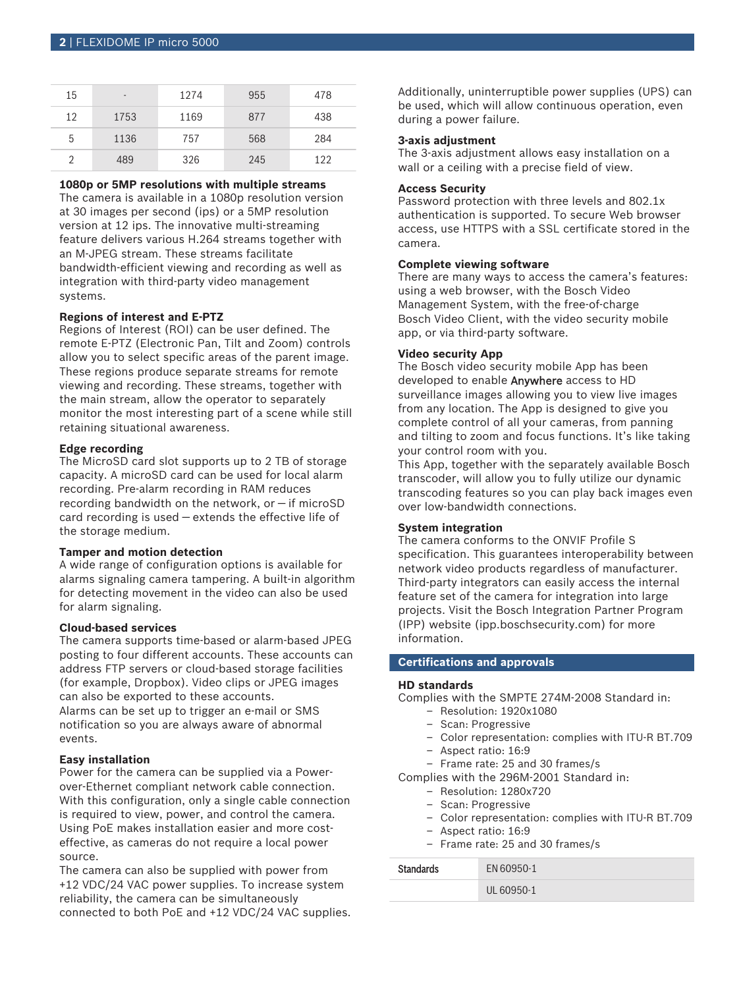| 15 | -    | 1274 | 955 | 478 |
|----|------|------|-----|-----|
| 12 | 1753 | 1169 | 877 | 438 |
| 5  | 1136 | 757  | 568 | 284 |
|    | 489  | 326  | 245 | 122 |

# **1080p or 5MP resolutions with multiple streams**

The camera is available in a 1080p resolution version at 30 images per second (ips) or a 5MP resolution version at 12 ips. The innovative multi-streaming feature delivers various H.264 streams together with an M‑JPEG stream. These streams facilitate bandwidth-efficient viewing and recording as well as integration with third-party video management systems.

# **Regions of interest and E-PTZ**

Regions of Interest (ROI) can be user defined. The remote E-PTZ (Electronic Pan, Tilt and Zoom) controls allow you to select specific areas of the parent image. These regions produce separate streams for remote viewing and recording. These streams, together with the main stream, allow the operator to separately monitor the most interesting part of a scene while still retaining situational awareness.

# **Edge recording**

The MicroSD card slot supports up to 2 TB of storage capacity. A microSD card can be used for local alarm recording. Pre-alarm recording in RAM reduces recording bandwidth on the network, or — if microSD card recording is used — extends the effective life of the storage medium.

# **Tamper and motion detection**

A wide range of configuration options is available for alarms signaling camera tampering. A built-in algorithm for detecting movement in the video can also be used for alarm signaling.

### **Cloud-based services**

The camera supports time-based or alarm-based JPEG posting to four different accounts. These accounts can address FTP servers or cloud-based storage facilities (for example, Dropbox). Video clips or JPEG images can also be exported to these accounts. Alarms can be set up to trigger an e-mail or SMS notification so you are always aware of abnormal events.

#### **Easy installation**

Power for the camera can be supplied via a Powerover-Ethernet compliant network cable connection. With this configuration, only a single cable connection is required to view, power, and control the camera. Using PoE makes installation easier and more costeffective, as cameras do not require a local power source.

The camera can also be supplied with power from +12 VDC/24 VAC power supplies. To increase system reliability, the camera can be simultaneously connected to both PoE and +12 VDC/24 VAC supplies. Additionally, uninterruptible power supplies (UPS) can be used, which will allow continuous operation, even during a power failure.

# **3-axis adjustment**

The 3-axis adjustment allows easy installation on a wall or a ceiling with a precise field of view.

# **Access Security**

Password protection with three levels and 802.1x authentication is supported. To secure Web browser access, use HTTPS with a SSL certificate stored in the camera.

# **Complete viewing software**

There are many ways to access the camera's features: using a web browser, with the Bosch Video Management System, with the free-of-charge Bosch Video Client, with the video security mobile app, or via third-party software.

# **Video security App**

The Bosch video security mobile App has been developed to enable Anywhere access to HD surveillance images allowing you to view live images from any location. The App is designed to give you complete control of all your cameras, from panning and tilting to zoom and focus functions. It's like taking your control room with you.

This App, together with the separately available Bosch transcoder, will allow you to fully utilize our dynamic transcoding features so you can play back images even over low-bandwidth connections.

# **System integration**

The camera conforms to the ONVIF Profile S specification. This guarantees interoperability between network video products regardless of manufacturer. Third-party integrators can easily access the internal feature set of the camera for integration into large projects. Visit the Bosch Integration Partner Program (IPP) website (ipp.boschsecurity.com) for more information.

# **Certifications and approvals**

### **HD standards**

Complies with the SMPTE 274M-2008 Standard in:

- Resolution: 1920x1080
- Scan: Progressive
- Color representation: complies with ITU-R BT.709
- Aspect ratio: 16:9
- Frame rate: 25 and 30 frames/s
- Complies with the 296M-2001 Standard in:
	- Resolution: 1280x720
	- Scan: Progressive
	- Color representation: complies with ITU-R BT.709
	- Aspect ratio: 16:9
	- Frame rate: 25 and 30 frames/s

| <b>Standards</b> | EN 60950-1 |
|------------------|------------|
|                  | UL 60950-1 |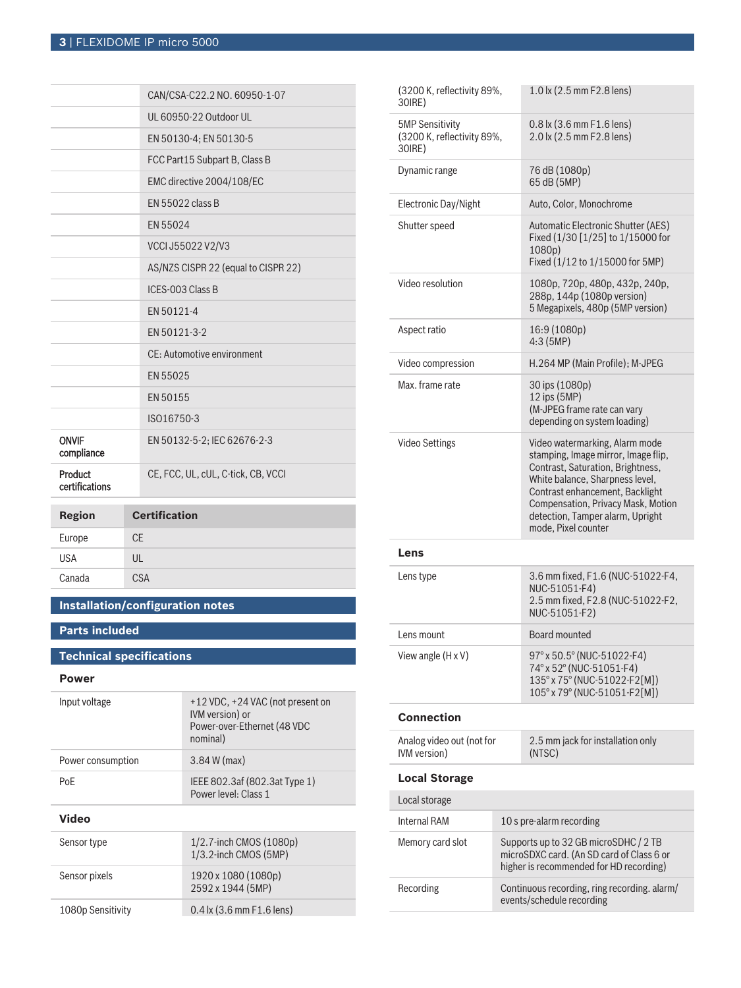|                            | CAN/CSA-C22.2 NO. 60950-1-07        |
|----------------------------|-------------------------------------|
|                            | UL 60950-22 Outdoor UL              |
|                            | EN 50130-4; EN 50130-5              |
|                            | FCC Part15 Subpart B, Class B       |
|                            | EMC directive 2004/108/EC           |
|                            | EN 55022 class B                    |
|                            | EN 55024                            |
|                            | VCCI J55022 V2/V3                   |
|                            | AS/NZS CISPR 22 (equal to CISPR 22) |
|                            | ICES-003 Class B                    |
|                            | EN 50121-4                          |
|                            | EN 50121-3-2                        |
|                            | CE: Automotive environment          |
|                            | EN 55025                            |
|                            | EN 50155                            |
|                            | ISO16750-3                          |
| <b>ONVIF</b><br>compliance | EN 50132-5-2; IEC 62676-2-3         |
| Product<br>certifications  | CE, FCC, UL, cUL, C-tick, CB, VCCI  |
| <b>Region</b>              | <b>Certification</b>                |
|                            |                                     |
| Europe                     | <b>CE</b>                           |

| Europe     | $\cap$ $\Gamma$ |
|------------|-----------------|
| <b>USA</b> | UL              |
| Canada     | <b>CSA</b>      |
|            |                 |

# **Installation/configuration notes**

# **Parts included**

# **Technical specifications**

# **Power**

| Input voltage     | +12 VDC, +24 VAC (not present on<br>IVM version) or<br>Power-over-Ethernet (48 VDC<br>nominal) |
|-------------------|------------------------------------------------------------------------------------------------|
| Power consumption | $3.84 W$ (max)                                                                                 |
| PoF               | IEEE 802.3af (802.3at Type 1)<br>Power level: Class 1                                          |
|                   |                                                                                                |

# **Video**

| Sensor type       | $1/2.7$ -inch CMOS $(1080p)$<br>1/3.2-inch CMOS (5MP) |
|-------------------|-------------------------------------------------------|
| Sensor pixels     | 1920 x 1080 (1080p)<br>2592 x 1944 (5MP)              |
| 1080p Sensitivity | $0.4$ lx (3.6 mm F1.6 lens)                           |

| (3200 K, reflectivity 89%,<br>30 (RE)                           |  | 1.0 lx (2.5 mm F2.8 lens)                                                                                                                                                                                                                                                         |  |
|-----------------------------------------------------------------|--|-----------------------------------------------------------------------------------------------------------------------------------------------------------------------------------------------------------------------------------------------------------------------------------|--|
| <b>5MP Sensitivity</b><br>(3200 K, reflectivity 89%,<br>30 (RE) |  | $0.8$ lx (3.6 mm F1.6 lens)<br>2.0 lx (2.5 mm F2.8 lens)                                                                                                                                                                                                                          |  |
| Dynamic range                                                   |  | 76 dB (1080p)<br>65 dB (5MP)                                                                                                                                                                                                                                                      |  |
| Electronic Day/Night                                            |  | Auto, Color, Monochrome                                                                                                                                                                                                                                                           |  |
| Shutter speed                                                   |  | Automatic Electronic Shutter (AES)<br>Fixed (1/30 [1/25] to 1/15000 for<br>1080 <sub>b</sub> )<br>Fixed (1/12 to 1/15000 for 5MP)                                                                                                                                                 |  |
| Video resolution                                                |  | 1080p, 720p, 480p, 432p, 240p,<br>288p, 144p (1080p version)<br>5 Megapixels, 480p (5MP version)                                                                                                                                                                                  |  |
| Aspect ratio                                                    |  | 16:9 (1080p)<br>4:3(5MP)                                                                                                                                                                                                                                                          |  |
| Video compression                                               |  | H.264 MP (Main Profile); M-JPEG                                                                                                                                                                                                                                                   |  |
| Max. frame rate                                                 |  | 30 ips (1080p)<br>12 ips (5MP)<br>(M-JPEG frame rate can vary<br>depending on system loading)                                                                                                                                                                                     |  |
| <b>Video Settings</b>                                           |  | Video watermarking, Alarm mode<br>stamping, Image mirror, Image flip,<br>Contrast, Saturation, Brightness,<br>White balance, Sharpness level,<br>Contrast enhancement, Backlight<br>Compensation, Privacy Mask, Motion<br>detection, Tamper alarm, Upright<br>mode, Pixel counter |  |
| Lens                                                            |  |                                                                                                                                                                                                                                                                                   |  |
| Lens type                                                       |  | 3.6 mm fixed, F1.6 (NUC-51022-F4,<br>NUC-51051-F4)<br>2.5 mm fixed, F2.8 (NUC-51022-F2,<br>NUC-51051-F2)                                                                                                                                                                          |  |
| Lens mount                                                      |  | Board mounted                                                                                                                                                                                                                                                                     |  |
| View angle $(H \times V)$                                       |  | 97° x 50.5° (NUC-51022-F4)<br>74° x 52° (NUC-51051-F4)<br>135° x 75° (NUC-51022-F2[M])<br>105° x 79° (NUC-51051-F2[M])                                                                                                                                                            |  |
| <b>Connection</b>                                               |  |                                                                                                                                                                                                                                                                                   |  |
| Analog video out (not for<br>IVM version)                       |  | 2.5 mm jack for installation only<br>(NTSC)                                                                                                                                                                                                                                       |  |
| <b>Local Storage</b>                                            |  |                                                                                                                                                                                                                                                                                   |  |
| Local storage                                                   |  |                                                                                                                                                                                                                                                                                   |  |
| <b>Internal RAM</b>                                             |  | 10 s pre-alarm recording                                                                                                                                                                                                                                                          |  |
| Memory card slot                                                |  | Supports up to 32 GB microSDHC / 2 TB<br>microSDXC card. (An SD card of Class 6 or<br>higher is recommended for HD recording)                                                                                                                                                     |  |
| Recording                                                       |  | Continuous recording, ring recording. alarm/<br>events/schedule recording                                                                                                                                                                                                         |  |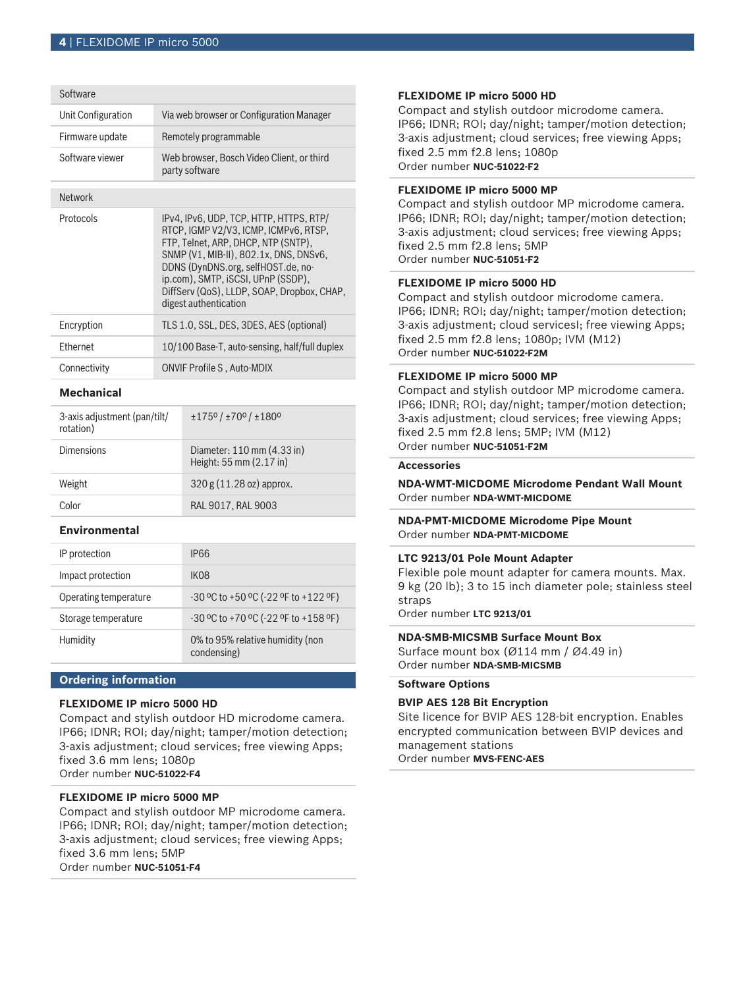| Unit Configuration | Via web browser or Configuration Manager                                                                                                                                                                                                                                                                             |  |
|--------------------|----------------------------------------------------------------------------------------------------------------------------------------------------------------------------------------------------------------------------------------------------------------------------------------------------------------------|--|
| Firmware update    | Remotely programmable                                                                                                                                                                                                                                                                                                |  |
| Software viewer    | Web browser, Bosch Video Client, or third<br>party software                                                                                                                                                                                                                                                          |  |
| <b>Network</b>     |                                                                                                                                                                                                                                                                                                                      |  |
| Protocols          | IPv4, IPv6, UDP, TCP, HTTP, HTTPS, RTP/<br>RTCP. IGMP V2/V3. ICMP. ICMPv6. RTSP.<br>FTP, Telnet, ARP, DHCP, NTP (SNTP),<br>SNMP (V1, MIB-II), 802.1x, DNS, DNSv6,<br>DDNS (DynDNS.org, selfHOST.de, no-<br>ip.com), SMTP, iSCSI, UPnP (SSDP),<br>DiffServ (QoS), LLDP, SOAP, Dropbox, CHAP,<br>digest authentication |  |
| Encryption         | TLS 1.0, SSL, DES, 3DES, AES (optional)                                                                                                                                                                                                                                                                              |  |
| Ethernet           | 10/100 Base-T, auto-sensing, half/full duplex                                                                                                                                                                                                                                                                        |  |
| Connectivity       | <b>ONVIF Profile S, Auto-MDIX</b>                                                                                                                                                                                                                                                                                    |  |
|                    |                                                                                                                                                                                                                                                                                                                      |  |

# **Mechanical**

| 3-axis adjustment (pan/tilt/<br>rotation) | $\pm$ 1750 / $\pm$ 700 / $\pm$ 1800                   |
|-------------------------------------------|-------------------------------------------------------|
| Dimensions                                | Diameter: 110 mm (4.33 in)<br>Height: 55 mm (2.17 in) |
| Weight                                    | 320 g (11.28 oz) approx.                              |
| Color                                     | RAL 9017, RAL 9003                                    |

# **Environmental**

| IP protection         | IP66                                            |
|-----------------------|-------------------------------------------------|
| Impact protection     | IK <sub>08</sub>                                |
| Operating temperature | $-30$ °C to $+50$ °C ( $-22$ °F to $+122$ °F)   |
| Storage temperature   | -30 °C to +70 °C (-22 °F to +158 °F)            |
| Humidity              | 0% to 95% relative humidity (non<br>condensing) |

# **Ordering information**

# **FLEXIDOME IP micro 5000 HD**

Compact and stylish outdoor HD microdome camera. IP66; IDNR; ROI; day/night; tamper/motion detection; 3-axis adjustment; cloud services; free viewing Apps; fixed 3.6 mm lens; 1080p Order number **NUC-51022-F4**

# **FLEXIDOME IP micro 5000 MP**

Compact and stylish outdoor MP microdome camera. IP66; IDNR; ROI; day/night; tamper/motion detection; 3-axis adjustment; cloud services; free viewing Apps; fixed 3.6 mm lens; 5MP Order number **NUC-51051-F4**

# **FLEXIDOME IP micro 5000 HD**

Compact and stylish outdoor microdome camera. IP66; IDNR; ROI; day/night; tamper/motion detection; 3-axis adjustment; cloud services; free viewing Apps; fixed 2.5 mm f2.8 lens; 1080p Order number **NUC-51022-F2**

# **FLEXIDOME IP micro 5000 MP**

Compact and stylish outdoor MP microdome camera. IP66; IDNR; ROI; day/night; tamper/motion detection; 3-axis adjustment; cloud services; free viewing Apps; fixed 2.5 mm f2.8 lens; 5MP Order number **NUC-51051-F2**

# **FLEXIDOME IP micro 5000 HD**

Compact and stylish outdoor microdome camera. IP66; IDNR; ROI; day/night; tamper/motion detection; 3-axis adjustment; cloud servicesI; free viewing Apps; fixed 2.5 mm f2.8 lens; 1080p; IVM (M12) Order number **NUC-51022-F2M**

# **FLEXIDOME IP micro 5000 MP**

Compact and stylish outdoor MP microdome camera. IP66; IDNR; ROI; day/night; tamper/motion detection; 3-axis adjustment; cloud services; free viewing Apps; fixed 2.5 mm f2.8 lens; 5MP; IVM (M12) Order number **NUC-51051-F2M**

### **Accessories**

**NDA-WMT-MICDOME Microdome Pendant Wall Mount** Order number **NDA-WMT-MICDOME**

# **NDA-PMT-MICDOME Microdome Pipe Mount** Order number **NDA-PMT-MICDOME**

# **LTC 9213/01 Pole Mount Adapter**

Flexible pole mount adapter for camera mounts. Max. 9 kg (20 lb); 3 to 15 inch diameter pole; stainless steel straps

Order number **LTC 9213/01**

# **NDA-SMB-MICSMB Surface Mount Box**

Surface mount box (Ø114 mm / Ø4.49 in) Order number **NDA-SMB-MICSMB**

# **Software Options**

# **BVIP AES 128 Bit Encryption**

Site licence for BVIP AES 128‑bit encryption. Enables encrypted communication between BVIP devices and management stations Order number **MVS-FENC-AES**